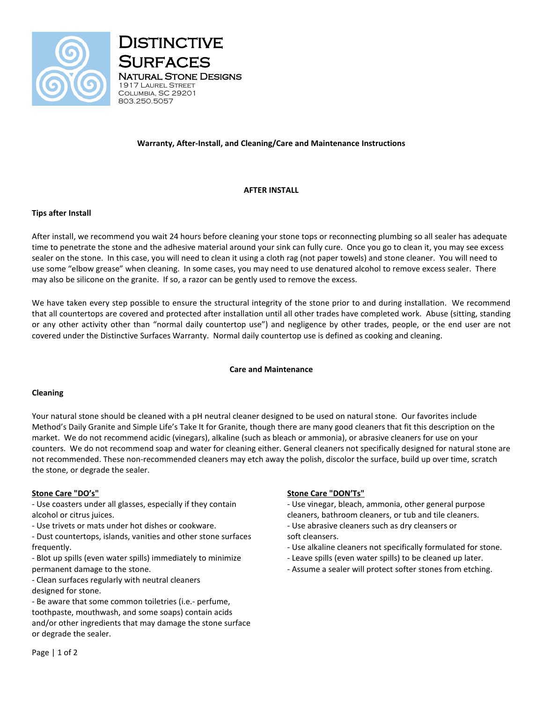



# **Warranty, After-Install, and Cleaning/Care and Maintenance Instructions**

## **AFTER INSTALL**

## **Tips after Install**

After install, we recommend you wait 24 hours before cleaning your stone tops or reconnecting plumbing so all sealer has adequate time to penetrate the stone and the adhesive material around your sink can fully cure. Once you go to clean it, you may see excess sealer on the stone. In this case, you will need to clean it using a cloth rag (not paper towels) and stone cleaner. You will need to use some "elbow grease" when cleaning. In some cases, you may need to use denatured alcohol to remove excess sealer. There may also be silicone on the granite. If so, a razor can be gently used to remove the excess.

We have taken every step possible to ensure the structural integrity of the stone prior to and during installation. We recommend that all countertops are covered and protected after installation until all other trades have completed work. Abuse (sitting, standing or any other activity other than "normal daily countertop use") and negligence by other trades, people, or the end user are not covered under the Distinctive Surfaces Warranty. Normal daily countertop use is defined as cooking and cleaning.

#### **Care and Maintenance**

#### **Cleaning**

Your natural stone should be cleaned with a pH neutral cleaner designed to be used on natural stone. Our favorites include Method's Daily Granite and Simple Life's Take It for Granite, though there are many good cleaners that fit this description on the market. We do not recommend acidic (vinegars), alkaline (such as bleach or ammonia), or abrasive cleaners for use on your counters. We do not recommend soap and water for cleaning either. General cleaners not specifically designed for natural stone are not recommended. These non-recommended cleaners may etch away the polish, discolor the surface, build up over time, scratch the stone, or degrade the sealer.

#### **Stone Care "DO's"**

- Use coasters under all glasses, especially if they contain alcohol or citrus juices.

- Use trivets or mats under hot dishes or cookware.

- Dust countertops, islands, vanities and other stone surfaces frequently.

- Blot up spills (even water spills) immediately to minimize permanent damage to the stone.
- Clean surfaces regularly with neutral cleaners designed for stone.

- Be aware that some common toiletries (i.e.- perfume, toothpaste, mouthwash, and some soaps) contain acids and/or other ingredients that may damage the stone surface or degrade the sealer.

## **Stone Care "DON'Ts"**

- Use vinegar, bleach, ammonia, other general purpose cleaners, bathroom cleaners, or tub and tile cleaners. - Use abrasive cleaners such as dry cleansers or

- soft cleansers.
- Use alkaline cleaners not specifically formulated for stone.
- Leave spills (even water spills) to be cleaned up later.
- Assume a sealer will protect softer stones from etching.